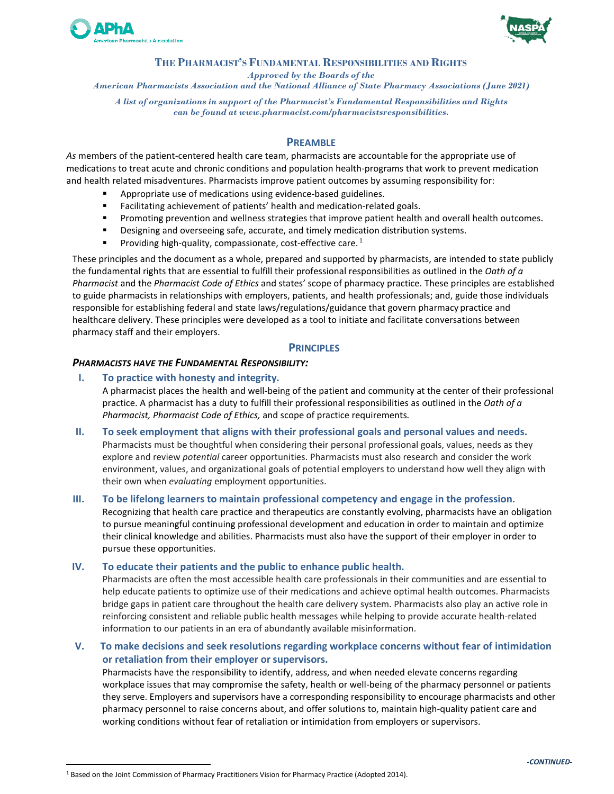



#### **THE PHARMACIST'S FUNDAMENTAL RESPONSIBILITIES AND RIGHTS**

*Approved by the Boards of the* 

*American Pharmacists Association and the National Alliance of State Pharmacy Associations (June 2021)* 

*A list of organizations in support of the Pharmacist's Fundamental Responsibilities and Rights can be found at www.pharmacist.com/pharmacistsresponsibilities.*

## **PREAMBLE**

*As* members of the patient-centered health care team, pharmacists are accountable for the appropriate use of medications to treat acute and chronic conditions and population health-programs that work to prevent medication and health related misadventures. Pharmacists improve patient outcomes by assuming responsibility for:

- Appropriate use of medications using evidence-based guidelines.
- Facilitating achievement of patients' health and medication-related goals.
- **Promoting prevention and wellness strategies that improve patient health and overall health outcomes.**
- Designing and overseeing safe, accurate, and timely medication distribution systems.
- **Providing high-quality, compassionate, cost-effective care.**<sup>[1](#page-0-0)</sup>

These principles and the document as a whole, prepared and supported by pharmacists, are intended to state publicly the fundamental rights that are essential to fulfill their professional responsibilities as outlined in the *Oath of a Pharmacist* and the *Pharmacist Code of Ethics* and states' scope of pharmacy practice. These principles are established to guide pharmacists in relationships with employers, patients, and health professionals; and, guide those individuals responsible for establishing federal and state laws/regulations/guidance that govern pharmacy practice and healthcare delivery. These principles were developed as a tool to initiate and facilitate conversations between pharmacy staff and their employers.

### **PRINCIPLES**

#### *PHARMACISTS HAVE THE FUNDAMENTAL RESPONSIBILITY:*

#### **I. To practice with honesty and integrity.**

A pharmacist places the health and well-being of the patient and community at the center of their professional practice. A pharmacist has a duty to fulfill their professional responsibilities as outlined in the *Oath of a Pharmacist, Pharmacist Code of Ethics,* and scope of practice requirements*.*

**II. To seek employment that aligns with their professional goals and personal values and needs.**  Pharmacists must be thoughtful when considering their personal professional goals, values, needs as they explore and review *potential* career opportunities. Pharmacists must also research and consider the work environment, values, and organizational goals of potential employers to understand how well they align with their own when *evaluating* employment opportunities.

#### **III. To be lifelong learners to maintain professional competency and engage in the profession.**

Recognizing that health care practice and therapeutics are constantly evolving, pharmacists have an obligation to pursue meaningful continuing professional development and education in order to maintain and optimize their clinical knowledge and abilities. Pharmacists must also have the support of their employer in order to pursue these opportunities.

#### **IV. To educate their patients and the public to enhance public health.**

Pharmacists are often the most accessible health care professionals in their communities and are essential to help educate patients to optimize use of their medications and achieve optimal health outcomes. Pharmacists bridge gaps in patient care throughout the health care delivery system. Pharmacists also play an active role in reinforcing consistent and reliable public health messages while helping to provide accurate health-related information to our patients in an era of abundantly available misinformation.

# **V. To make decisions and seek resolutions regarding workplace concerns without fear of intimidation or retaliation from their employer or supervisors.**

Pharmacists have the responsibility to identify, address, and when needed elevate concerns regarding workplace issues that may compromise the safety, health or well-being of the pharmacy personnel or patients they serve. Employers and supervisors have a corresponding responsibility to encourage pharmacists and other pharmacy personnel to raise concerns about, and offer solutions to, maintain high-quality patient care and working conditions without fear of retaliation or intimidation from employers or supervisors.

<span id="page-0-0"></span><sup>1</sup> Based on the Joint Commission of Pharmacy Practitioners Vision for Pharmacy Practice (Adopted 2014).